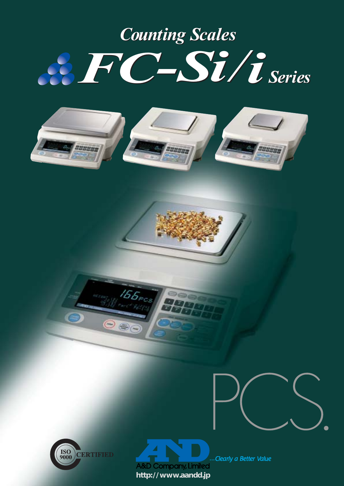## *FC-Si/i FC-Si/i Counting Scales Counting Scales Series*



 $155$ <sub>PCS</sub>

 $\circledR$ 





...Clearly a Better Value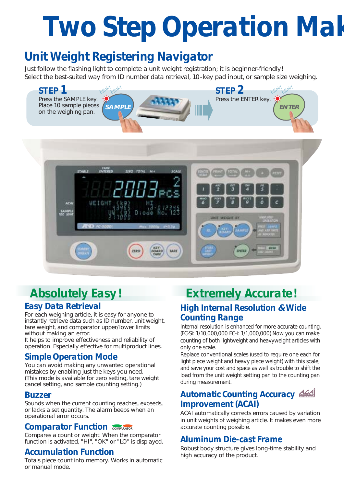# *Two Step Operation Mak*

## *Unit Weight Registering Navigator*

Just follow the flashing light to complete a unit weight registration; it is beginner-friendly! Select the best-suited way from ID number data retrieval, 10-key pad input, or sample size weighing.



## *Absolutely Easy! Easy Data Retrieval*

For each weighing article, it is easy for anyone to instantly retrieve data such as ID number, unit weight, tare weight, and comparator upper/lower limits without making an error.

It helps to improve effectiveness and reliability of operation. Especially effective for multiproduct lines.

### *Simple Operation Mode*

You can avoid making any unwanted operational mistakes by enabling just the keys you need. (This mode is available for zero setting, tare weight cancel setting, and sample counting setting.)

#### *Buzzer*

Sounds when the current counting reaches, exceeds, or lacks a set quantity. The alarm beeps when an operational error occurs.

#### *Comparator Function*

Compares a count or weight. When the comparator function is activated, "HI", "OK" or "LO" is displayed.

#### *Accumulation Function*

Totals piece count into memory. Works in automatic or manual mode.

## *Extremely Accurate! High Internal Resolution* **&** *Wide Counting Range*

Internal resolution is enhanced for more accurate counting. (FC-Si: 1/10,000,000 FC-i: 1/1,000,000) Now you can make counting of both lightweight and heavyweight articles with only one scale.

Replace conventional scales (used to require one each for light piece weight and heavy piece weight) with this scale, and save your cost and space as well as trouble to shift the load from the unit weight setting pan to the counting pan during measurement.

### *Automatic Counting Accuracy Improvement (ACAI)*

ACAI automatically corrects errors caused by variation in unit weights of weighing article. It makes even more accurate counting possible.

### *Aluminum Die-cast Frame*

Robust body structure gives long-time stability and high accuracy of the product.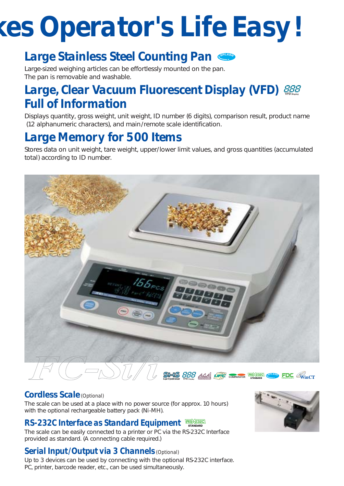# *kes Operator's Life Easy!*

## *Large Stainless Steel Counting Pan*

Large-sized weighing articles can be effortlessly mounted on the pan. The pan is removable and washable.

## *Large, Clear Vacuum Fluorescent Display (VFD) Full of Information*

Displays quantity, gross weight, unit weight, ID number (6 digits), comparison result, product name (12 alphanumeric characters), and main/remote scale identification.

## *Large Memory for 500 Items*

Stores data on unit weight, tare weight, upper/lower limit values, and gross quantities (accumulated total) according to ID number.



### *Cordless Scale (Optional)*

The scale can be used at a place with no power source (for approx. 10 hours) with the optional rechargeable battery pack (Ni-MH).

## *RS-232C Interface as Standard Equipment*

The scale can be easily connected to a printer or PC via the RS-232C Interface provided as standard. (A connecting cable required.)

### *Serial Input/Output via 3 Channels (Optional)*

Up to 3 devices can be used by connecting with the optional RS-232C interface. PC, printer, barcode reader, etc., can be used simultaneously.

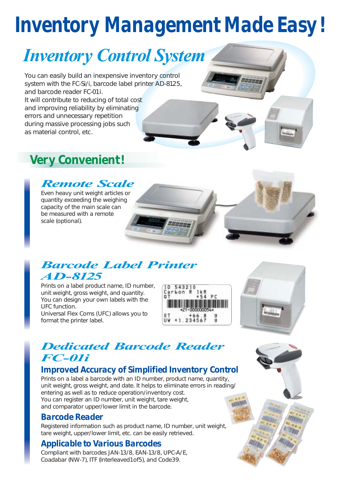## *Inventory Management Made Easy!*

## *Inventory Control System*

You can easily build an inexpensive inventory control system with the FC-Si/i, barcode label printer AD-8125, and barcode reader FC-01i.

It will contribute to reducing of total cost and improving reliability by eliminating errors and unnecessary repetition during massive processing jobs such as material control, etc.

## *Very Convenient!*

## *Remote Scale*

Even heavy unit weight articles or quantity exceeding the weighing capacity of the main scale can be measured with a remote scale (optional).

## *Barcode Label Printer AD-8125*

Prints on a label product name, ID number, unit weight, gross weight, and quantity. You can design your own labels with the UFC function.

Universal Flex Coms (UFC) allows you to format the printer label.





## *Dedicated Barcode Reader FC-01i*

## *Improved Accuracy of Simplified Inventory Control*

Prints on a label a barcode with an ID number, product name, quantity, unit weight, gross weight, and date. It helps to eliminate errors in reading/ entering as well as to reduce operation/inventory cost. You can register an ID number, unit weight, tare weight, and comparator upper/lower limit in the barcode.

### *Barcode Reader*

Registered information such as product name, ID number, unit weight, tare weight, upper/lower limit, etc. can be easily retrieved.

## *Applicable to Various Barcodes*

Compliant with barcodes JAN-13/8, EAN-13/8, UPC-A/E, Coadabar (NW-7), ITF (Interleaved1of5), and Code39.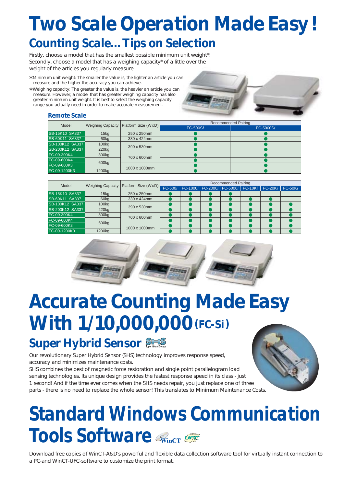## *Two Scale Operation Made Easy! Counting Scale…Tips on Selection*

Firstly, choose a model that has the smallest possible minimum unit weight\*. Secondly, choose a model that has a weighing capacity\* of a little over the weight of the articles you regularly measure.

- \* Minimum unit weight: The smaller the value is, the lighter an article you can measure and the higher the accuracy you can achieve.
- \* Weighing capacity: The greater the value is, the heavier an article you can measure. However, a model that has greater weighing capacity has also greater minimum unit weight. It is best to select the weighing capacity range you actually need in order to make accurate measurement.

#### *Remote Scale*

| Model                 |                    | Weighing Capacity   Platform Size (WxD) | Recommended Pairing |           |  |  |  |
|-----------------------|--------------------|-----------------------------------------|---------------------|-----------|--|--|--|
|                       |                    |                                         | $FC-500Si$          | FC-5000Si |  |  |  |
| SB-15K10 SA337        | 15 <sub>kq</sub>   | 250 x 250mm                             |                     |           |  |  |  |
| <b>SB-60K11 SA337</b> | 60kg               | 330 x 424mm                             |                     |           |  |  |  |
| SB-100K12 SA337       | 100 <sub>kg</sub>  | 390 x 530mm                             |                     |           |  |  |  |
| SB-200K12 SA337       | 220 <sub>kg</sub>  |                                         |                     |           |  |  |  |
| FC-09-300K4           | 300 <sub>kg</sub>  | 700 x 600mm                             |                     |           |  |  |  |
| FC-09-600K4           |                    |                                         |                     |           |  |  |  |
| FC-09-600K3           | 600 <sub>kg</sub>  | 1000 x 1000mm                           |                     |           |  |  |  |
| FC-09-1200K3          | 1200 <sub>kg</sub> |                                         |                     |           |  |  |  |

| Model           | <b>Weighing Capacity</b> | Platform Size (WxD) | <b>Recommended Pairing</b> |                                    |  |  |  |           |           |  |
|-----------------|--------------------------|---------------------|----------------------------|------------------------------------|--|--|--|-----------|-----------|--|
|                 |                          |                     | $FC-500i$                  | FC-1000i FC-2000i FC-5000i FC-10Ki |  |  |  | $FC-20Ki$ | $FC-50Ki$ |  |
| SB-15K10 SA337  | 15 <sub>kq</sub>         | 250 x 250mm         |                            |                                    |  |  |  |           |           |  |
| SB-60K11 SA337  | 60kg                     | 330 x 424mm         |                            |                                    |  |  |  |           |           |  |
| SB-100K12 SA337 | 100 <sub>kq</sub>        | 390 x 530mm         |                            |                                    |  |  |  |           |           |  |
| SB-200K12 SA337 | 220 <sub>kg</sub>        |                     |                            |                                    |  |  |  |           |           |  |
| FC-09-300K4     | 300kg                    | 700 x 600mm         |                            |                                    |  |  |  |           |           |  |
| FC-09-600K4     |                          |                     |                            |                                    |  |  |  |           |           |  |
| FC-09-600K3     | 600 <sub>kg</sub>        | 1000 x 1000mm       |                            |                                    |  |  |  |           |           |  |
| FC-09-1200K3    | 1200kg                   |                     |                            |                                    |  |  |  |           |           |  |



## *Accurate Counting Made Easy With 1/10,000,000(FC-Si)*

## *Super Hybrid Sensor* SHS

Our revolutionary Super Hybrid Sensor (SHS) technology improves response speed, accuracy and minimizes maintenance costs.

SHS combines the best of magnetic force restoration and single point parallelogram load sensing technologies. Its unique design provides the fastest response speed in its class - just 1 second! And if the time ever comes when the SHS needs repair, you just replace one of three parts - there is no need to replace the whole sensor! This translates to Minimum Maintenance Costs.

## *Standard Windows Communication Tools Software*

Download free copies of WinCT-A&D's powerful and flexible data collection software tool for virtually instant connection to a PC-and WinCT-UFC-software to customize the print format.